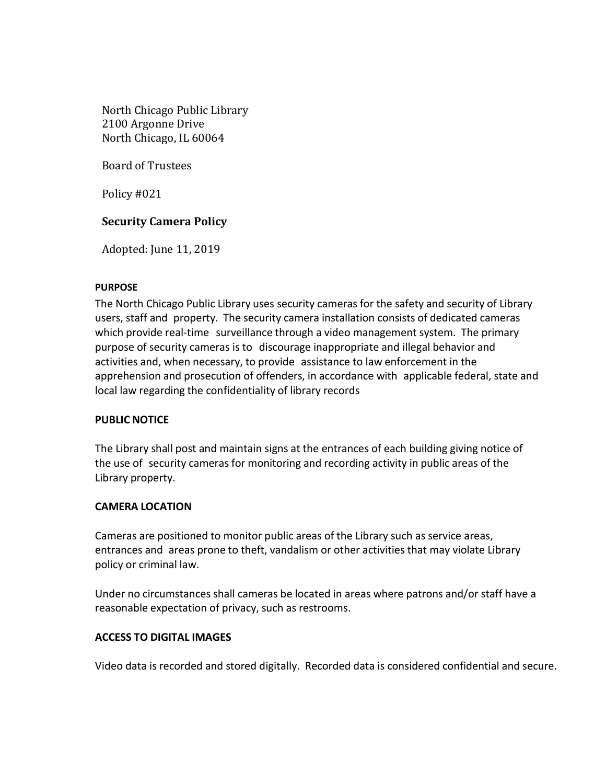North Chicago Public Library 2100 Argonne Drive North Chicago, IL 60064

Board of Trustees

Policy #021

# **Security Camera Policy**

Adopted: June 11, 2019

### **PURPOSE**

The North Chicago Public Library uses security cameras for the safety and security of Library users, staff and property. The security camera installation consists of dedicated cameras which provide real-time surveillance through a video management system. The primary purpose of security cameras is to discourage inappropriate and illegal behavior and activities and, when necessary, to provide assistance to law enforcement in the apprehension and prosecution of offenders, in accordance with applicable federal, state and local law regarding the confidentiality of library records

### **PUBLIC NOTICE**

The Library shall post and maintain signs at the entrances of each building giving notice of the use of security camerasfor monitoring and recording activity in public areas of the Library property.

### **CAMERA LOCATION**

Cameras are positioned to monitor public areas of the Library such as service areas, entrances and areas prone to theft, vandalism or other activities that may violate Library policy or criminal law.

Under no circumstances shall cameras be located in areas where patrons and/or staff have a reasonable expectation of privacy, such as restrooms.

### **ACCESS TO DIGITAL IMAGES**

Video data is recorded and stored digitally. Recorded data is considered confidential and secure.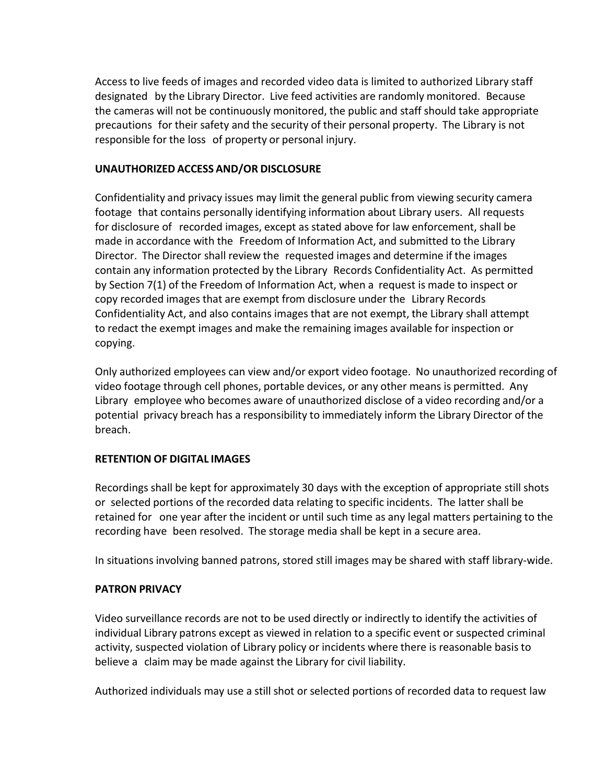Access to live feeds of images and recorded video data is limited to authorized Library staff designated by the Library Director. Live feed activities are randomly monitored. Because the cameras will not be continuously monitored, the public and staff should take appropriate precautions for their safety and the security of their personal property. The Library is not responsible for the loss of property or personal injury.

## **UNAUTHORIZED ACCESS AND/OR DISCLOSURE**

Confidentiality and privacy issues may limit the general public from viewing security camera footage that contains personally identifying information about Library users. All requests for disclosure of recorded images, except as stated above for law enforcement, shall be made in accordance with the Freedom of Information Act, and submitted to the Library Director. The Director shall review the requested images and determine if the images contain any information protected by the Library Records Confidentiality Act. As permitted by Section 7(1) of the Freedom of Information Act, when a request is made to inspect or copy recorded images that are exempt from disclosure under the Library Records Confidentiality Act, and also contains images that are not exempt, the Library shall attempt to redact the exempt images and make the remaining images available for inspection or copying.

Only authorized employees can view and/or export video footage. No unauthorized recording of video footage through cell phones, portable devices, or any other means is permitted. Any Library employee who becomes aware of unauthorized disclose of a video recording and/or a potential privacy breach has a responsibility to immediately inform the Library Director of the breach.

# **RETENTION OF DIGITAL IMAGES**

Recordings shall be kept for approximately 30 days with the exception of appropriate still shots or selected portions of the recorded data relating to specific incidents. The latter shall be retained for one year after the incident or until such time as any legal matters pertaining to the recording have been resolved. The storage media shall be kept in a secure area.

In situations involving banned patrons, stored still images may be shared with staff library-wide.

# **PATRON PRIVACY**

Video surveillance records are not to be used directly or indirectly to identify the activities of individual Library patrons except as viewed in relation to a specific event or suspected criminal activity, suspected violation of Library policy or incidents where there is reasonable basis to believe a claim may be made against the Library for civil liability.

Authorized individuals may use a still shot or selected portions of recorded data to request law